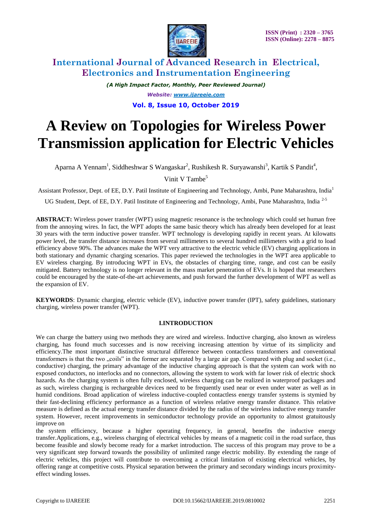

*(A High Impact Factor, Monthly, Peer Reviewed Journal) Website: [www.ijareeie.com](http://www.ijareeie.com/)* **Vol. 8, Issue 10, October 2019**

# **A Review on Topologies for Wireless Power Transmission application for Electric Vehicles**

Aparna A Yennam<sup>1</sup>, Siddheshwar S Wangaskar<sup>2</sup>, Rushikesh R. Suryawanshi<sup>3</sup>, Kartik S Pandit<sup>4</sup>,

Vinit V Tambe<sup>5</sup>

Assistant Professor, Dept. of EE, D.Y. Patil Institute of Engineering and Technology, Ambi, Pune Maharashtra, India<sup>1</sup>

UG Student, Dept. of EE, D.Y. Patil Institute of Engineering and Technology, Ambi, Pune Maharashtra, India<sup>2-5</sup>

**ABSTRACT:** Wireless power transfer (WPT) using magnetic resonance is the technology which could set human free from the annoying wires. In fact, the WPT adopts the same basic theory which has already been developed for at least 30 years with the term inductive power transfer. WPT technology is developing rapidly in recent years. At kilowatts power level, the transfer distance increases from several millimeters to several hundred millimeters with a grid to load efficiency above 90%. The advances make the WPT very attractive to the electric vehicle (EV) charging applications in both stationary and dynamic charging scenarios. This paper reviewed the technologies in the WPT area applicable to EV wireless charging. By introducing WPT in EVs, the obstacles of charging time, range, and cost can be easily mitigated. Battery technology is no longer relevant in the mass market penetration of EVs. It is hoped that researchers could be encouraged by the state-of-the-art achievements, and push forward the further development of WPT as well as the expansion of EV.

**KEYWORDS**: Dynamic charging, electric vehicle (EV), inductive power transfer (IPT), safety guidelines, stationary charging, wireless power transfer (WPT).

### **I.INTRODUCTION**

We can charge the battery using two methods they are wired and wireless. Inductive charging, also known as wireless charging, has found much successes and is now receiving increasing attention by virtue of its simplicity and efficiency.The most important distinctive structural difference between contactless transformers and conventional transformers is that the two "coils" in the former are separated by a large air gap. Compared with plug and socket (i.e., conductive) charging, the primary advantage of the inductive charging approach is that the system can work with no exposed conductors, no interlocks and no connectors, allowing the system to work with far lower risk of electric shock hazards. As the charging system is often fully enclosed, wireless charging can be realized in waterproof packages and as such, wireless charging is rechargeable devices need to be frequently used near or even under water as well as in humid conditions. Broad application of wireless inductive-coupled contactless energy transfer systems is stymied by their fast-declining efficiency performance as a function of wireless relative energy transfer distance. This relative measure is defined as the actual energy transfer distance divided by the radius of the wireless inductive energy transfer system. However, recent improvements in semiconductor technology provide an opportunity to almost gratuitously improve on

the system efficiency, because a higher operating frequency, in general, benefits the inductive energy transfer.Applications, e.g., wireless charging of electrical vehicles by means of a magnetic coil in the road surface, thus become feasible and slowly become ready for a market introduction. The success of this program may prove to be a very significant step forward towards the possibility of unlimited range electric mobility. By extending the range of electric vehicles, this project will contribute to overcoming a critical limitation of existing electrical vehicles, by offering range at competitive costs. Physical separation between the primary and secondary windings incurs proximityeffect winding losses.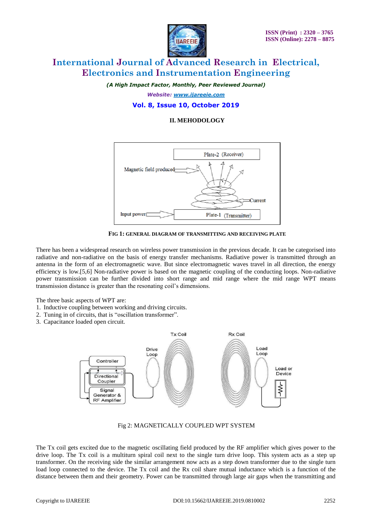

*(A High Impact Factor, Monthly, Peer Reviewed Journal)*

*Website: [www.ijareeie.com](http://www.ijareeie.com/)*

## **Vol. 8, Issue 10, October 2019**

### **II. MEHODOLOGY**



**FIG 1: GENERAL DIAGRAM OF TRANSMITTING AND RECEIVING PLATE**

There has been a widespread research on wireless power transmission in the previous decade. It can be categorised into radiative and non-radiative on the basis of energy transfer mechanisms. Radiative power is transmitted through an antenna in the form of an electromagnetic wave. But since electromagnetic waves travel in all direction, the energy efficiency is low.[5,6] Non-radiative power is based on the magnetic coupling of the conducting loops. Non-radiative power transmission can be further divided into short range and mid range where the mid range WPT means transmission distance is greater than the resonating coil's dimensions.

The three basic aspects of WPT are:

- 1. Inductive coupling between working and driving circuits.
- 2. Tuning in of circuits, that is "oscillation transformer".
- 3. Capacitance loaded open circuit.



### Fig 2: MAGNETICALLY COUPLED WPT SYSTEM

The Tx coil gets excited due to the magnetic oscillating field produced by the RF amplifier which gives power to the drive loop. The Tx coil is a multiturn spiral coil next to the single turn drive loop. This system acts as a step up transformer. On the receiving side the similar arrangement now acts as a step down transformer due to the single turn load loop connected to the device. The Tx coil and the Rx coil share mutual inductance which is a function of the distance between them and their geometry. Power can be transmitted through large air gaps when the transmitting and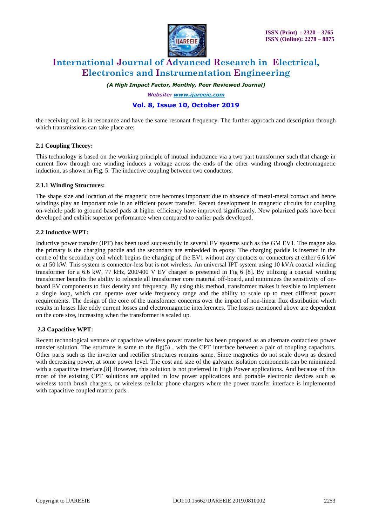

*(A High Impact Factor, Monthly, Peer Reviewed Journal)*

*Website: [www.ijareeie.com](http://www.ijareeie.com/)*

# **Vol. 8, Issue 10, October 2019**

the receiving coil is in resonance and have the same resonant frequency. The further approach and description through which transmissions can take place are:

### **2.1 Coupling Theory:**

This technology is based on the working principle of mutual inductance via a two part transformer such that change in current flow through one winding induces a voltage across the ends of the other winding through electromagnetic induction, as shown in Fig. 5. The inductive coupling between two conductors.

### **2.1.1 Winding Structures:**

The shape size and location of the magnetic core becomes important due to absence of metal-metal contact and hence windings play an important role in an efficient power transfer. Recent development in magnetic circuits for coupling on-vehicle pads to ground based pads at higher efficiency have improved significantly. New polarized pads have been developed and exhibit superior performance when compared to earlier pads developed.

#### **2.2 Inductive WPT:**

Inductive power transfer (IPT) has been used successfully in several EV systems such as the GM EV1. The magne aka the primary is the charging paddle and the secondary are embedded in epoxy. The charging paddle is inserted in the centre of the secondary coil which begins the charging of the EV1 without any contacts or connectors at either 6.6 kW or at 50 kW. This system is connector-less but is not wireless. An universal IPT system using 10 kVA coaxial winding transformer for a 6.6 kW, 77 kHz, 200/400 V EV charger is presented in Fig 6 [8]. By utilizing a coaxial winding transformer benefits the ability to relocate all transformer core material off-board, and minimizes the sensitivity of onboard EV components to flux density and frequency. By using this method, transformer makes it feasible to implement a single loop, which can operate over wide frequency range and the ability to scale up to meet different power requirements. The design of the core of the transformer concerns over the impact of non-linear flux distribution which results in losses like eddy current losses and electromagnetic interferences. The losses mentioned above are dependent on the core size, increasing when the transformer is scaled up.

### **2.3 Capacitive WPT:**

Recent technological venture of capacitive wireless power transfer has been proposed as an alternate contactless power transfer solution. The structure is same to the fig(5), with the CPT interface between a pair of coupling capacitors. Other parts such as the inverter and rectifier structures remains same. Since magnetics do not scale down as desired with decreasing power, at some power level. The cost and size of the galvanic isolation components can be minimized with a capacitive interface.<sup>[8]</sup> However, this solution is not preferred in High Power applications. And because of this most of the existing CPT solutions are applied in low power applications and portable electronic devices such as wireless tooth brush chargers, or wireless cellular phone chargers where the power transfer interface is implemented with capacitive coupled matrix pads.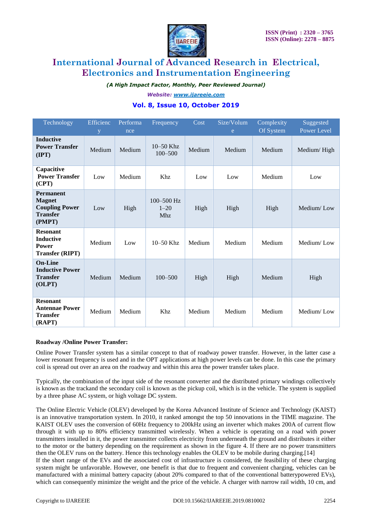

*(A High Impact Factor, Monthly, Peer Reviewed Journal)*

*Website: [www.ijareeie.com](http://www.ijareeie.com/)*

# **Vol. 8, Issue 10, October 2019**

| Technology                                                                              | Efficienc<br>y | Performa<br>nce | Frequency                                | Cost   | Size/Volum<br>e | Complexity<br>Of System | Suggested<br>Power Level |
|-----------------------------------------------------------------------------------------|----------------|-----------------|------------------------------------------|--------|-----------------|-------------------------|--------------------------|
| <b>Inductive</b><br><b>Power Transfer</b><br>$(\text{IPT})$                             | Medium         | Medium          | $10 - 50$ Khz<br>$100 - 500$             | Medium | Medium          | Medium                  | Medium/High              |
| Capacitive<br><b>Power Transfer</b><br>(CPT)                                            | Low            | Medium          | Khz                                      | Low    | Low             | Medium                  | Low                      |
| <b>Permanent</b><br><b>Magnet</b><br><b>Coupling Power</b><br><b>Transfer</b><br>(PMPT) | Low            | High            | $100 - 500$ Hz<br>$1 - 20$<br><b>Mhz</b> | High   | High            | High                    | Medium/Low               |
| <b>Resonant</b><br><b>Inductive</b><br><b>Power</b><br><b>Transfer (RIPT)</b>           | Medium         | Low             | $10 - 50$ Khz                            | Medium | Medium          | Medium                  | Medium/Low               |
| <b>On-Line</b><br><b>Inductive Power</b><br><b>Transfer</b><br>(OLPT)                   | Medium         | Medium          | $100 - 500$                              | High   | High            | Medium                  | High                     |
| <b>Resonant</b><br><b>Antennae Power</b><br><b>Transfer</b><br>(RAPT)                   | Medium         | Medium          | Khz                                      | Medium | Medium          | Medium                  | Medium/Low               |

### **Roadway /Online Power Transfer:**

Online Power Transfer system has a similar concept to that of roadway power transfer. However, in the latter case a lower resonant frequency is used and in the OPT applications at high power levels can be done. In this case the primary coil is spread out over an area on the roadway and within this area the power transfer takes place.

Typically, the combination of the input side of the resonant converter and the distributed primary windings collectively is known as the trackand the secondary coil is known as the pickup coil, which is in the vehicle. The system is supplied by a three phase AC system, or high voltage DC system.

The Online Electric Vehicle (OLEV) developed by the Korea Advanced Institute of Science and Technology (KAIST) is an innovative transportation system. In 2010, it ranked amongst the top 50 innovations in the TIME magazine. The KAIST OLEV uses the conversion of 60Hz frequency to 200kHz using an inverter which makes 200A of current flow through it with up to 80% efficiency transmitted wirelessly. When a vehicle is operating on a road with power transmitters installed in it, the power transmitter collects electricity from underneath the ground and distributes it either to the motor or the battery depending on the requirement as shown in the figure 4. If there are no power transmitters then the OLEV runs on the battery. Hence this technology enables the OLEV to be mobile during charging.[14] If the short range of the EVs and the associated cost of infrastructure is considered, the feasibility of these charging system might be unfavorable. However, one benefit is that due to frequent and convenient charging, vehicles can be manufactured with a minimal battery capacity (about 20% compared to that of the conventional batterypowered EVs), which can consequently minimize the weight and the price of the vehicle. A charger with narrow rail width, 10 cm, and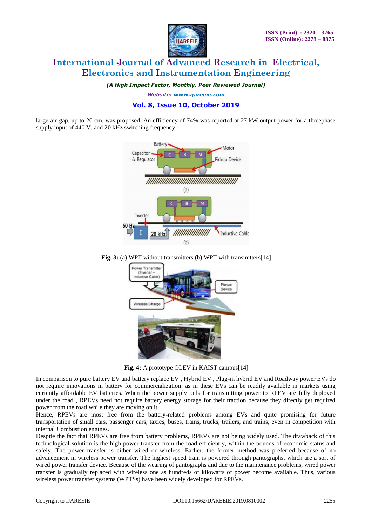

*(A High Impact Factor, Monthly, Peer Reviewed Journal)*

*Website: [www.ijareeie.com](http://www.ijareeie.com/)*

# **Vol. 8, Issue 10, October 2019**

large air-gap, up to 20 cm, was proposed. An efficiency of 74% was reported at 27 kW output power for a threephase supply input of 440 V, and 20 kHz switching frequency.



**Fig. 3:** (a) WPT without transmitters (b) WPT with transmitters [14]



**Fig. 4:** A prototype OLEV in KAIST campus[14]

In comparison to pure battery EV and battery replace EV , Hybrid EV , Plug-in hybrid EV and Roadway power EVs do not require innovations in battery for commercialization; as in these EVs can be readily available in markets using currently affordable EV batteries. When the power supply rails for transmitting power to RPEV are fully deployed under the road , RPEVs need not require battery energy storage for their traction because they directly get required power from the road while they are moving on it.

Hence, RPEVs are most free from the battery-related problems among EVs and quite promising for future transportation of small cars, passenger cars, taxies, buses, trams, trucks, trailers, and trains, even in competition with internal Combustion engines.

Despite the fact that RPEVs are free from battery problems, RPEVs are not being widely used. The drawback of this technological solution is the high power transfer from the road efficiently, within the bounds of economic status and safely. The power transfer is either wired or wireless. Earlier, the former method was preferred because of no advancement in wireless power transfer. The highest speed train is powered through pantographs, which are a sort of wired power transfer device. Because of the wearing of pantographs and due to the maintenance problems, wired power transfer is gradually replaced with wireless one as hundreds of kilowatts of power become available. Thus, various wireless power transfer systems (WPTSs) have been widely developed for RPEVs.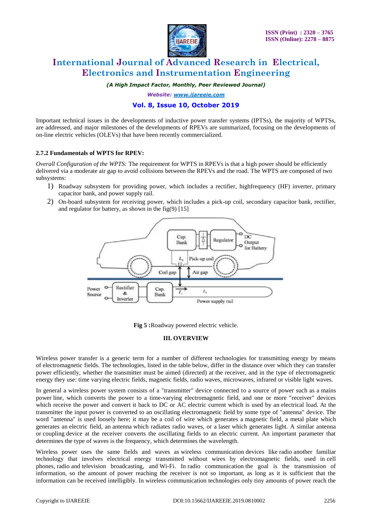

*(A High Impact Factor, Monthly, Peer Reviewed Journal)*

*Website: [www.ijareeie.com](http://www.ijareeie.com/)*

# **Vol. 8, Issue 10, October 2019**

Important technical issues in the developments of inductive power transfer systems (IPTSs), the majority of WPTSs, are addressed, and major milestones of the developments of RPEVs are summarized, focusing on the developments of on-line electric vehicles (OLEVs) that have been recently commercialized.

### **2.7.2 Fundamentals of WPTS for RPEV:**

*Overall Configuration of the WPTS:* The requirement for WPTS in RPEVs is that a high power should be efficiently delivered via a moderate air gap to avoid collisions between the RPEVs and the road. The WPTS are composed of two subsystems:

- 1) Roadway subsystem for providing power, which includes a rectifier, highfrequency (HF) inverter, primary capacitor bank, and power supply rail.
- 2) On-board subsystem for receiving power, which includes a pick-up coil, secondary capacitor bank, rectifier, and regulator for battery, as shown in the fig $(9)$  [15]



**Fig 5 :**Roadway powered electric vehicle.

#### **III. OVERVIEW**

Wireless power transfer is a generic term for a number of different technologies for transmitting energy by means of [electromagnetic fields.](https://en.wikipedia.org/wiki/Electromagnetic_field) The technologies, listed in the table below, differ in the distance over which they can transfer power efficiently, whether the transmitter must be aimed (directed) at the receiver, and in the type of electromagnetic energy they use: time varying [electric fields,](https://en.wikipedia.org/wiki/Electric_field) [magnetic fields,](https://en.wikipedia.org/wiki/Magnetic_field) [radio waves,](https://en.wikipedia.org/wiki/Radio_wave) [microwaves,](https://en.wikipedia.org/wiki/Microwave) [infrared](https://en.wikipedia.org/wiki/Infrared) or visible [light waves.](https://en.wikipedia.org/wiki/Light_wave)

In general a wireless power system consists of a "transmitter" device connected to a source of power such as a [mains](https://en.wikipedia.org/wiki/Mains_power)  [power](https://en.wikipedia.org/wiki/Mains_power) line, which converts the power to a time-varying electromagnetic field, and one or more "receiver" devices which receive the power and convert it back to DC or AC electric current which is used by an [electrical load.](https://en.wikipedia.org/wiki/Electrical_load) At the transmitter the input power is converted to an oscillating [electromagnetic field](https://en.wikipedia.org/wiki/Electromagnetic_field) by some type of ["antenna"](https://en.wikipedia.org/wiki/Antenna_(radio)) device. The word "antenna" is used loosely here; it may be a coil of wire which generates a [magnetic field,](https://en.wikipedia.org/wiki/Magnetic_field) a metal plate which generates an [electric field,](https://en.wikipedia.org/wiki/Electric_field) an [antenna](https://en.wikipedia.org/wiki/Antenna_(radio)) which radiates radio waves, or a [laser](https://en.wikipedia.org/wiki/Laser) which generates light. A similar antenna or [coupling](https://en.wikipedia.org/wiki/Coupling_(electronics)) device at the receiver converts the oscillating fields to an electric current. An important parameter that determines the type of waves is the [frequency,](https://en.wikipedia.org/wiki/Frequency) which determines the wavelength.

Wireless power uses the same fields and waves as [wireless communication](https://en.wikipedia.org/wiki/Wireless_communication) devices like [radio](https://en.wikipedia.org/wiki/Radio) another familiar technology that involves electrical energy transmitted without wires by electromagnetic fields, used in [cell](https://en.wikipedia.org/wiki/Cellphone)  [phones,](https://en.wikipedia.org/wiki/Cellphone) [radio](https://en.wikipedia.org/wiki/Radio_broadcasting) and [television broadcasting,](https://en.wikipedia.org/wiki/Television_broadcasting) and Wi-Fi. In [radio communication](https://en.wikipedia.org/wiki/Radio_communication) the goal is the transmission of information, so the amount of power reaching the receiver is not so important, as long as it is sufficient that the information can be received intelligibly. In wireless communication technologies only tiny amounts of power reach the